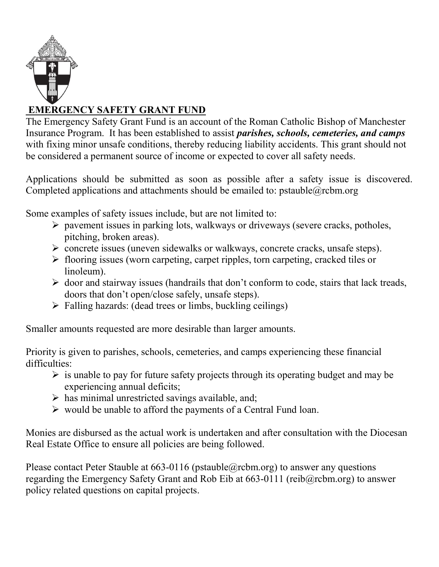

## EMERGENCY SAFETY GRANT FUND

The Emergency Safety Grant Fund is an account of the Roman Catholic Bishop of Manchester Insurance Program. It has been established to assist *parishes*, *schools*, *cemeteries*, *and camps* with fixing minor unsafe conditions, thereby reducing liability accidents. This grant should not be considered a permanent source of income or expected to cover all safety needs.

Applications should be submitted as soon as possible after a safety issue is discovered. Completed applications and attachments should be emailed to: pstauble@rcbm.org

Some examples of safety issues include, but are not limited to:

- $\triangleright$  pavement issues in parking lots, walkways or driveways (severe cracks, potholes, pitching, broken areas).
- concrete issues (uneven sidewalks or walkways, concrete cracks, unsafe steps).
- $\triangleright$  flooring issues (worn carpeting, carpet ripples, torn carpeting, cracked tiles or linoleum).
- $\triangleright$  door and stairway issues (handrails that don't conform to code, stairs that lack treads, doors that don't open/close safely, unsafe steps).
- $\triangleright$  Falling hazards: (dead trees or limbs, buckling ceilings)

Smaller amounts requested are more desirable than larger amounts.

Priority is given to parishes, schools, cemeteries, and camps experiencing these financial difficulties:

- $\triangleright$  is unable to pay for future safety projects through its operating budget and may be experiencing annual deficits;
- $\triangleright$  has minimal unrestricted savings available, and;
- $\triangleright$  would be unable to afford the payments of a Central Fund loan.

Monies are disbursed as the actual work is undertaken and after consultation with the Diocesan Real Estate Office to ensure all policies are being followed.

Please contact Peter Stauble at  $663-0116$  (pstauble  $@$  rcbm.org) to answer any questions regarding the Emergency Safety Grant and Rob Eib at 663-0111 (reib@rcbm.org) to answer policy related questions on capital projects.